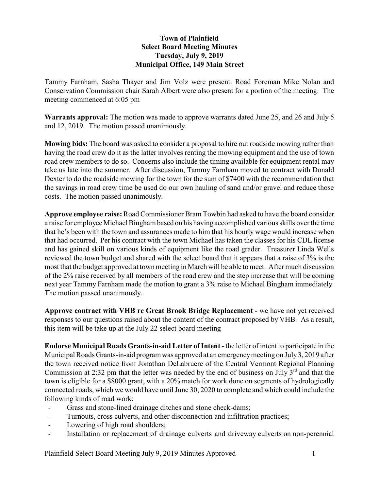## **Town of Plainfield Select Board Meeting Minutes Tuesday, July 9, 2019 Municipal Office, 149 Main Street**

Tammy Farnham, Sasha Thayer and Jim Volz were present. Road Foreman Mike Nolan and Conservation Commission chair Sarah Albert were also present for a portion of the meeting. The meeting commenced at 6:05 pm

**Warrants approval:** The motion was made to approve warrants dated June 25, and 26 and July 5 and 12, 2019. The motion passed unanimously.

**Mowing bids:** The board was asked to consider a proposal to hire out roadside mowing rather than having the road crew do it as the latter involves renting the mowing equipment and the use of town road crew members to do so. Concerns also include the timing available for equipment rental may take us late into the summer. After discussion, Tammy Farnham moved to contract with Donald Dexter to do the roadside mowing for the town for the sum of \$7400 with the recommendation that the savings in road crew time be used do our own hauling of sand and/or gravel and reduce those costs. The motion passed unanimously.

**Approve employee raise:** Road Commissioner Bram Towbin had asked to have the board consider a raise for employee Michael Bingham based on his having accomplished various skills over the time that he's been with the town and assurances made to him that his hourly wage would increase when that had occurred. Per his contract with the town Michael has taken the classes for his CDL license and has gained skill on various kinds of equipment like the road grader. Treasurer Linda Wells reviewed the town budget and shared with the select board that it appears that a raise of 3% is the most that the budget approved at town meeting in March will be able to meet. After much discussion of the 2% raise received by all members of the road crew and the step increase that will be coming next year Tammy Farnham made the motion to grant a 3% raise to Michael Bingham immediately. The motion passed unanimously.

**Approve contract with VHB re Great Brook Bridge Replacement** - we have not yet received responses to our questions raised about the content of the contract proposed by VHB. As a result, this item will be take up at the July 22 select board meeting

**Endorse Municipal Roads Grants-in-aid Letter of Intent** - the letter of intent to participate in the Municipal Roads Grants-in-aid program was approved at an emergencymeeting on July3, 2019 after the town received notice from Jonathan DeLabruere of the Central Vermont Regional Planning Commission at 2:32 pm that the letter was needed by the end of business on July  $3<sup>rd</sup>$  and that the town is eligible for a \$8000 grant, with a 20% match for work done on segments of hydrologically connected roads, which we would have until June 30, 2020 to complete and which could include the following kinds of road work:

- Grass and stone-lined drainage ditches and stone check-dams;
- Turnouts, cross culverts, and other disconnection and infiltration practices;
- Lowering of high road shoulders;
- Installation or replacement of drainage culverts and driveway culverts on non-perennial

Plainfield Select Board Meeting July 9, 2019 Minutes Approved 1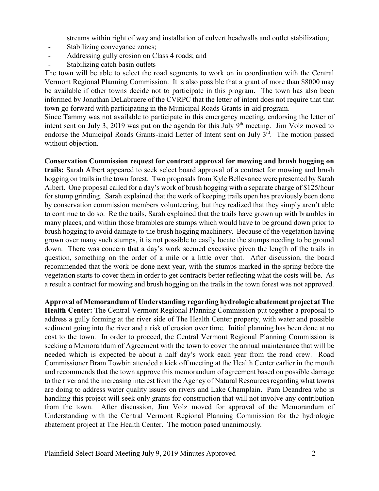streams within right of way and installation of culvert headwalls and outlet stabilization;

- Stabilizing conveyance zones;
- Addressing gully erosion on Class 4 roads; and
- Stabilizing catch basin outlets

The town will be able to select the road segments to work on in coordination with the Central Vermont Regional Planning Commission. It is also possible that a grant of more than \$8000 may be available if other towns decide not to participate in this program. The town has also been informed by Jonathan DeLabruere of the CVRPC that the letter of intent does not require that that town go forward with participating in the Municipal Roads Grants-in-aid program.

Since Tammy was not available to participate in this emergency meeting, endorsing the letter of intent sent on July 3, 2019 was put on the agenda for this July  $9<sup>th</sup>$  meeting. Jim Volz moved to endorse the Municipal Roads Grants-inaid Letter of Intent sent on July 3<sup>rd</sup>. The motion passed without objection.

**Conservation Commission request for contract approval for mowing and brush hogging on trails:** Sarah Albert appeared to seek select board approval of a contract for mowing and brush hogging on trails in the town forest. Two proposals from Kyle Bellevance were presented by Sarah Albert. One proposal called for a day's work of brush hogging with a separate charge of \$125/hour for stump grinding. Sarah explained that the work of keeping trails open has previously been done by conservation commission members volunteering, but they realized that they simply aren't able to continue to do so. Re the trails, Sarah explained that the trails have grown up with brambles in many places, and within those brambles are stumps which would have to be ground down prior to brush hogging to avoid damage to the brush hogging machinery. Because of the vegetation having grown over many such stumps, it is not possible to easily locate the stumps needing to be ground down. There was concern that a day's work seemed excessive given the length of the trails in question, something on the order of a mile or a little over that. After discussion, the board recommended that the work be done next year, with the stumps marked in the spring before the vegetation starts to cover them in order to get contracts better reflecting what the costs will be. As a result a contract for mowing and brush hogging on the trails in the town forest was not approved.

**Approval of Memorandum of Understanding regarding hydrologic abatement project at The Health Center:** The Central Vermont Regional Planning Commission put together a proposal to address a gully forming at the river side of The Health Center property, with water and possible sediment going into the river and a risk of erosion over time. Initial planning has been done at no cost to the town. In order to proceed, the Central Vermont Regional Planning Commission is seeking a Memorandum of Agreement with the town to cover the annual maintenance that will be needed which is expected be about a half day's work each year from the road crew. Road Commissioner Bram Towbin attended a kick off meeting at the Health Center earlier in the month and recommends that the town approve this memorandum of agreement based on possible damage to the river and the increasing interest from the Agency of Natural Resources regarding what towns are doing to address water quality issues on rivers and Lake Champlain. Pam Deandrea who is handling this project will seek only grants for construction that will not involve any contribution from the town. After discussion, Jim Volz moved for approval of the Memorandum of Understanding with the Central Vermont Regional Planning Commission for the hydrologic abatement project at The Health Center. The motion pased unanimously.